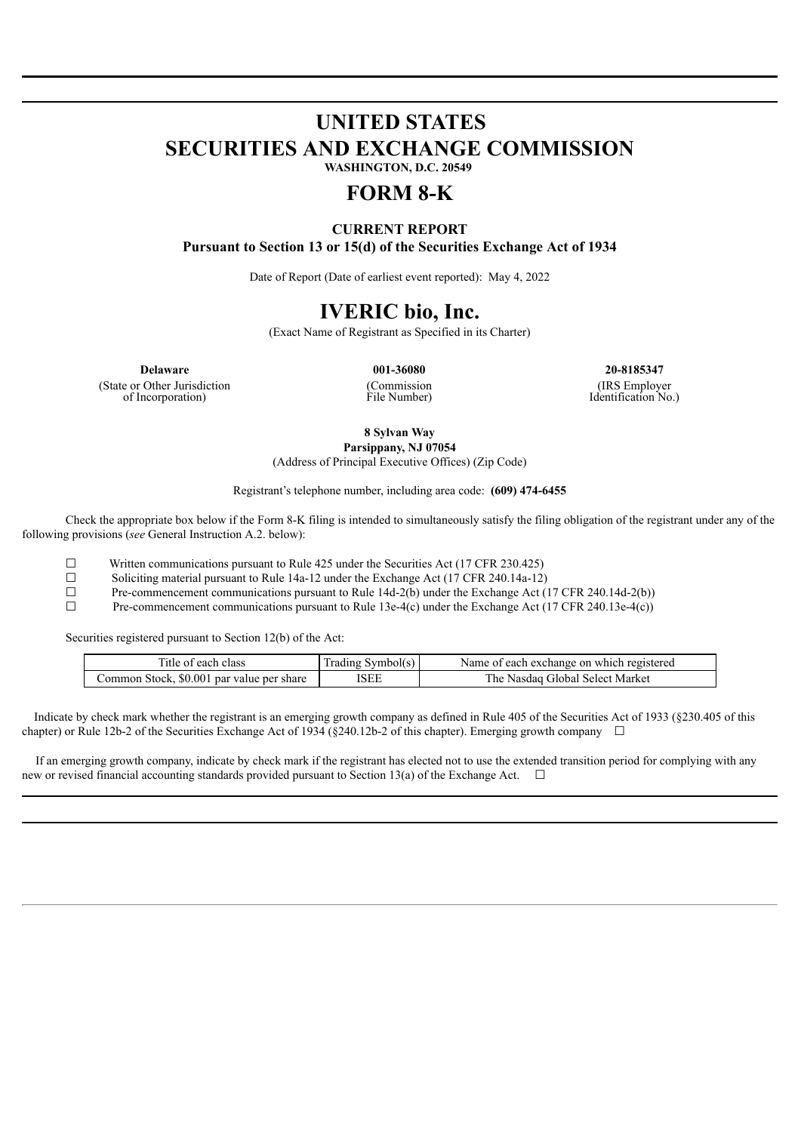# **UNITED STATES SECURITIES AND EXCHANGE COMMISSION WASHINGTON, D.C. 20549**

# **FORM 8-K**

# **CURRENT REPORT Pursuant to Section 13 or 15(d) of the Securities Exchange Act of 1934**

Date of Report (Date of earliest event reported): May 4, 2022

# **IVERIC bio, Inc.**

(Exact Name of Registrant as Specified in its Charter)

(State or Other Jurisdiction of Incorporation)

(Commission File Number)

**Delaware 001-36080 20-8185347** (IRS Employer Identification No.)

**8 Sylvan Way**

**Parsippany, NJ 07054** (Address of Principal Executive Offices) (Zip Code)

Registrant's telephone number, including area code: **(609) 474-6455**

Check the appropriate box below if the Form 8-K filing is intended to simultaneously satisfy the filing obligation of the registrant under any of the following provisions (*see* General Instruction A.2. below):

 $\Box$  Written communications pursuant to Rule 425 under the Securities Act (17 CFR 230.425)

☐ Soliciting material pursuant to Rule 14a-12 under the Exchange Act (17 CFR 240.14a-12)

 $\Box$  Pre-commencement communications pursuant to Rule 14d-2(b) under the Exchange Act (17 CFR 240.14d-2(b))

 $\Box$  Pre-commencement communications pursuant to Rule 13e-4(c) under the Exchange Act (17 CFR 240.13e-4(c))

Securities registered pursuant to Section 12(b) of the Act:

| l'itle of each class                      | Symbol(s)<br>I rading | Name of each exchange on which registered |
|-------------------------------------------|-----------------------|-------------------------------------------|
| Common Stock, \$0.001 par value per share | <b>ISEE</b>           | * Global Select Market<br>he<br>Nasdag    |

Indicate by check mark whether the registrant is an emerging growth company as defined in Rule 405 of the Securities Act of 1933 (§230.405 of this chapter) or Rule 12b-2 of the Securities Exchange Act of 1934 (§240.12b-2 of this chapter). Emerging growth company  $\Box$ 

If an emerging growth company, indicate by check mark if the registrant has elected not to use the extended transition period for complying with any new or revised financial accounting standards provided pursuant to Section 13(a) of the Exchange Act.  $\Box$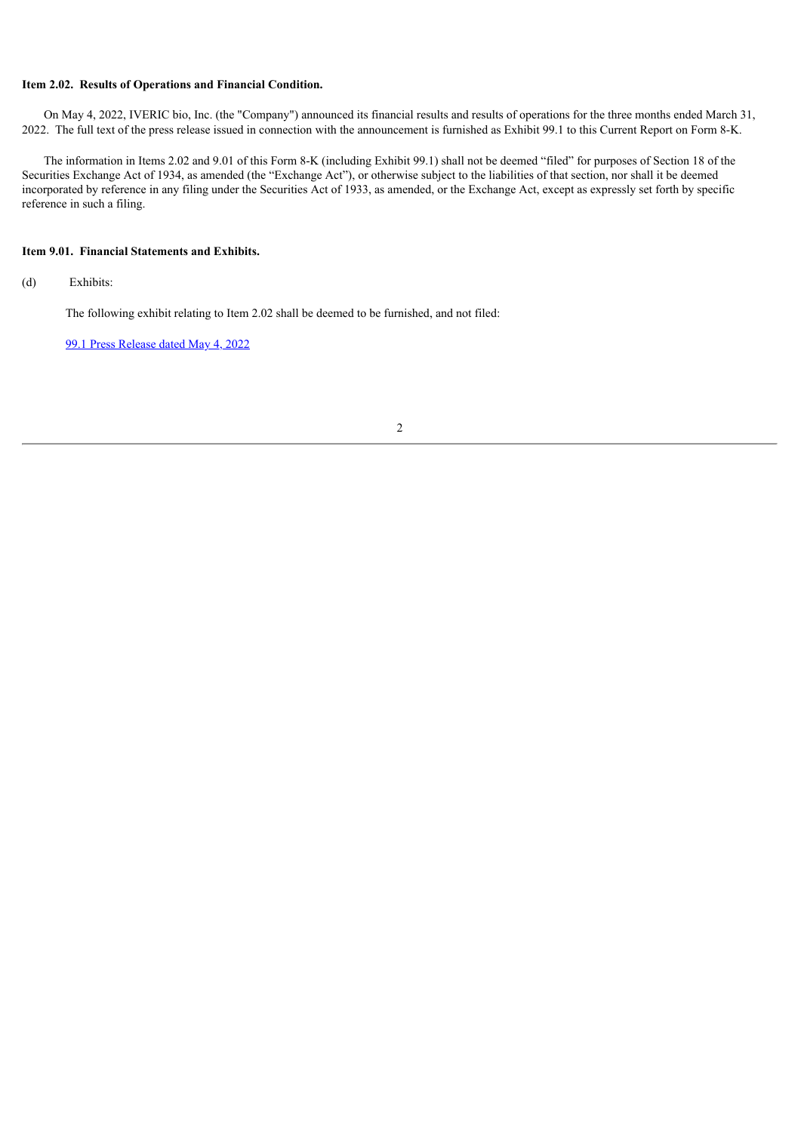# **Item 2.02. Results of Operations and Financial Condition.**

On May 4, 2022, IVERIC bio, Inc. (the "Company") announced its financial results and results of operations for the three months ended March 31, 2022. The full text of the press release issued in connection with the announcement is furnished as Exhibit 99.1 to this Current Report on Form 8-K.

The information in Items 2.02 and 9.01 of this Form 8-K (including Exhibit 99.1) shall not be deemed "filed" for purposes of Section 18 of the Securities Exchange Act of 1934, as amended (the "Exchange Act"), or otherwise subject to the liabilities of that section, nor shall it be deemed incorporated by reference in any filing under the Securities Act of 1933, as amended, or the Exchange Act, except as expressly set forth by specific reference in such a filing.

# **Item 9.01. Financial Statements and Exhibits.**

(d) Exhibits:

The following exhibit relating to Item 2.02 shall be deemed to be furnished, and not filed:

99.1 Press [Release](#page-3-0) dated May 4, 2022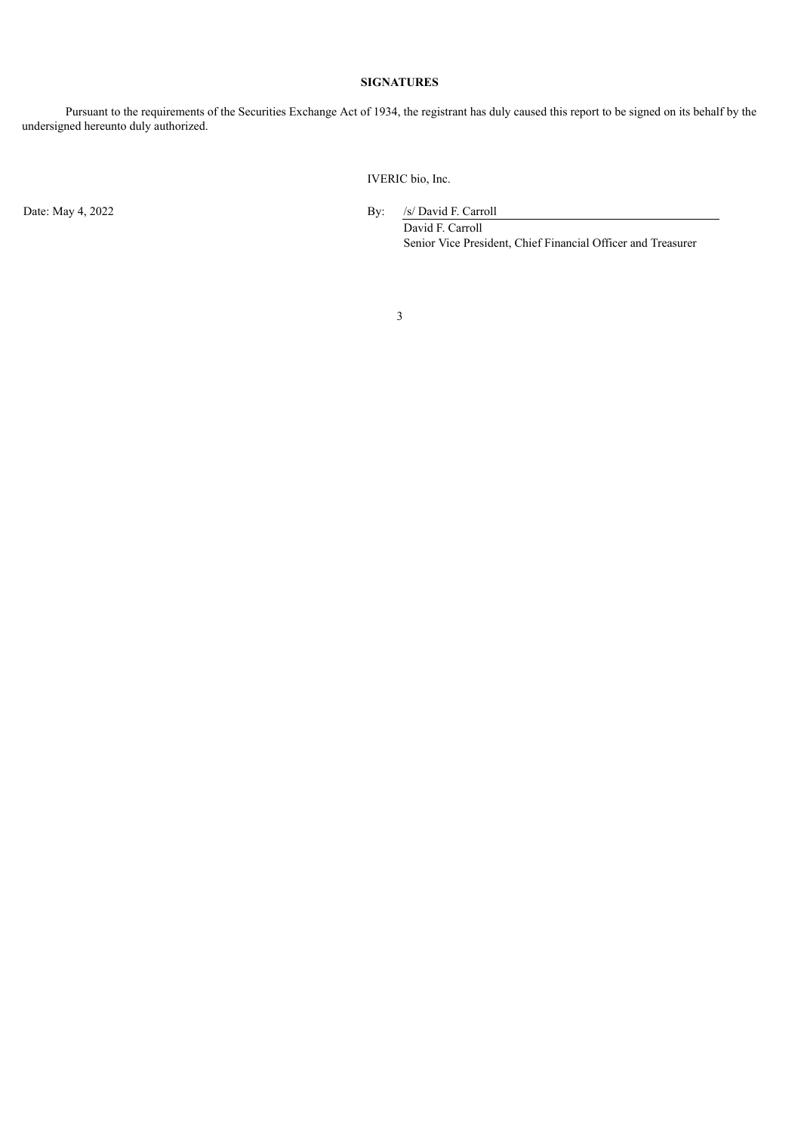# **SIGNATURES**

Pursuant to the requirements of the Securities Exchange Act of 1934, the registrant has duly caused this report to be signed on its behalf by the undersigned hereunto duly authorized.

IVERIC bio, Inc.

Date: May 4, 2022 By: /s/ David F. Carroll

David F. Carroll Senior Vice President, Chief Financial Officer and Treasurer

3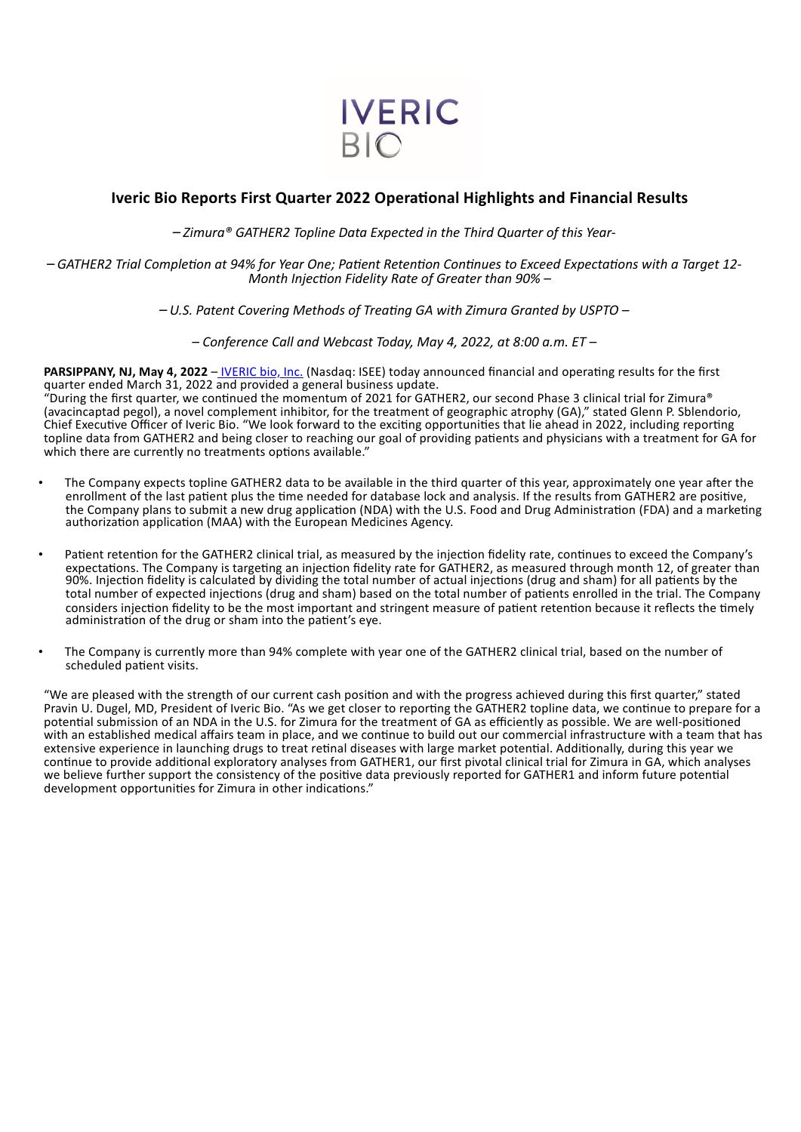

# <span id="page-3-0"></span>**Iveric Bio Reports First Quarter 2022 Operational Highlights and Financial Results**

– *Zimura® GATHER2 Topline Data Expected in the Third Quarter of this Year-*

– *GATHER2 Trial Completion at 94% for Year One; Patient Retention Continues to Exceed Expectations with a Target 12- Month Injection Fidelity Rate of Greater than 90% –*

– *U.S. Patent Covering Methods of Treating GA with Zimura Granted by USPTO –*

*– Conference Call and Webcast Today, May 4, 2022, at 8:00 a.m. ET –*

**PARSIPPANY, NJ, May 4, 2022** – IVERIC bio, Inc. (Nasdaq: ISEE) today announced financial and operating results for the first quarter ended March 31, 2022 and provided a general business update.

"During the first quarter, we continued the momentum of 2021 for GATHER2, our second Phase 3 clinical trial for Zimura® (avacincaptad pegol), a novel complement inhibitor, for the treatment of geographic atrophy (GA)," stated Glenn P. Sblendorio, Chief Executive Officer of Iveric Bio. "We look forward to the exciting opportunities that lie ahead in 2022, including reporting topline data from GATHER2 and being closer to reaching our goal of providing patients and physicians with a treatment for GA for which there are currently no treatments options available."

- The Company expects topline GATHER2 data to be available in the third quarter of this year, approximately one year after the enrollment of the last patient plus the time needed for database lock and analysis. If the results from GATHER2 are positive, the Company plans to submit a new drug application (NDA) with the U.S. Food and Drug Administration (FDA) and a marketing authorization application (MAA) with the European Medicines Agency.
- Patient retention for the GATHER2 clinical trial, as measured by the injection fidelity rate, continues to exceed the Company's expectations. The Company is targeting an injection fidelity rate for GATHER2, as measured through month 12, of greater than 90%. Injection fidelity is calculated by dividing the total number of actual injections (drug and sham) for all patients by the total number of expected injections (drug and sham) based on the total number of patients enrolled in the trial. The Company considers injection fidelity to be the most important and stringent measure of patient retention because it reflects the timely administration of the drug or sham into the patient's eye.
- The Company is currently more than 94% complete with year one of the GATHER2 clinical trial, based on the number of scheduled patient visits.

"We are pleased with the strength of our current cash position and with the progress achieved during this first quarter," stated Pravin U. Dugel, MD, President of Iveric Bio. "As we get closer to reporting the GATHER2 topline data, we continue to prepare for a potential submission of an NDA in the U.S. for Zimura for the treatment of GA as efficiently as possible. We are well-positioned with an established medical affairs team in place, and we continue to build out our commercial infrastructure with a team that has extensive experience in launching drugs to treat retinal diseases with large market potential. Additionally, during this year we continue to provide additional exploratory analyses from GATHER1, our first pivotal clinical trial for Zimura in GA, which analyses we believe further support the consistency of the positive data previously reported for GATHER1 and inform future potential development opportunities for Zimura in other indications."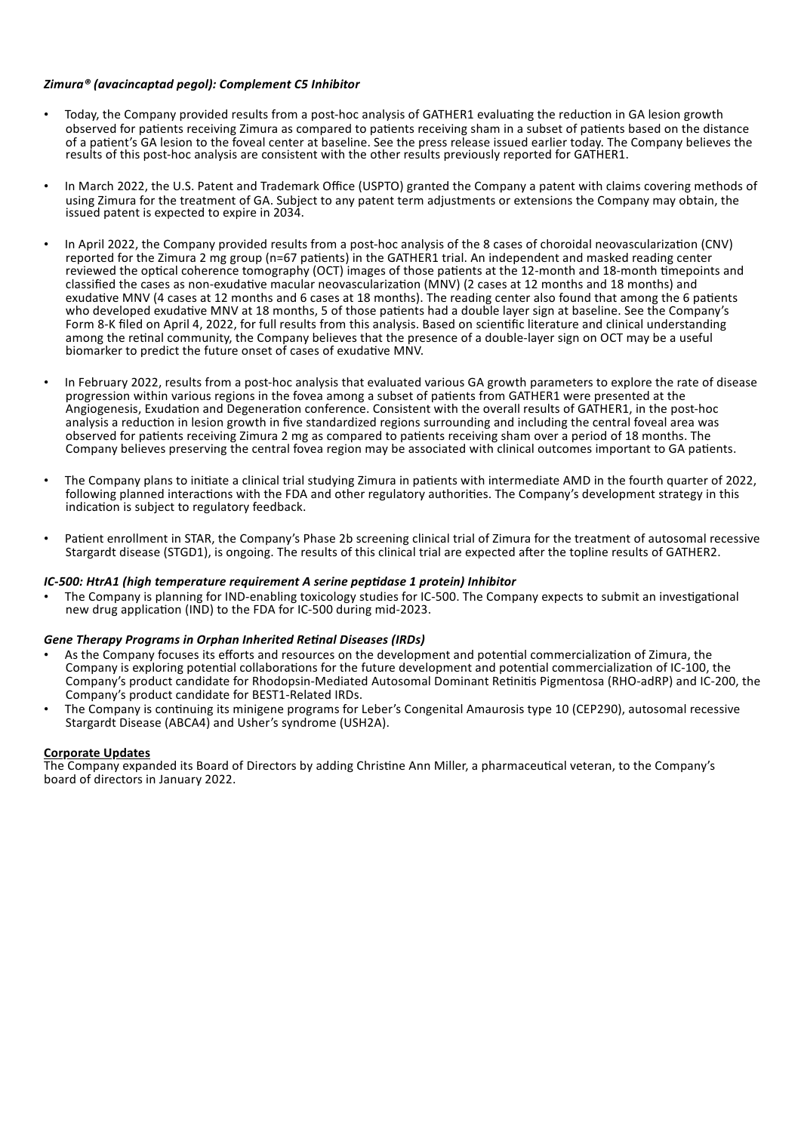# *Zimura® (avacincaptad pegol): Complement C5 Inhibitor*

- Today, the Company provided results from a post-hoc analysis of GATHER1 evaluating the reduction in GA lesion growth observed for patients receiving Zimura as compared to patients receiving sham in a subset of patients based on the distance of a patient's GA lesion to the foveal center at baseline. See the press release issued earlier today. The Company believes the results of this post-hoc analysis are consistent with the other results previously reported for GATHER1.
- In March 2022, the U.S. Patent and Trademark Office (USPTO) granted the Company a patent with claims covering methods of using Zimura for the treatment of GA. Subject to any patent term adjustments or extensions the Company may obtain, the issued patent is expected to expire in 2034.
- In April 2022, the Company provided results from a post-hoc analysis of the 8 cases of choroidal neovascularization (CNV) reported for the Zimura 2 mg group (n=67 patients) in the GATHER1 trial. An independent and masked reading center reviewed the optical coherence tomography (OCT) images of those patients at the 12-month and 18-month timepoints and classified the cases as non-exudative macular neovascularization (MNV) (2 cases at 12 months and 18 months) and exudative MNV (4 cases at 12 months and 6 cases at 18 months). The reading center also found that among the 6 patients who developed exudative MNV at 18 months, 5 of those patients had a double layer sign at baseline. See the Company's Form 8-K filed on April 4, 2022, for full results from this analysis. Based on scientific literature and clinical understanding among the retinal community, the Company believes that the presence of a double-layer sign on OCT may be a useful biomarker to predict the future onset of cases of exudative MNV.
- In February 2022, results from a post-hoc analysis that evaluated various GA growth parameters to explore the rate of disease progression within various regions in the fovea among a subset of patients from GATHER1 were presented at the Angiogenesis, Exudation and Degeneration conference. Consistent with the overall results of GATHER1, in the post-hoc analysis a reduction in lesion growth in five standardized regions surrounding and including the central foveal area was observed for patients receiving Zimura 2 mg as compared to patients receiving sham over a period of 18 months. The Company believes preserving the central fovea region may be associated with clinical outcomes important to GA patients.
- The Company plans to initiate a clinical trial studying Zimura in patients with intermediate AMD in the fourth quarter of 2022, following planned interactions with the FDA and other regulatory authorities. The Company's development strategy in this indication is subject to regulatory feedback.
- Patient enrollment in STAR, the Company's Phase 2b screening clinical trial of Zimura for the treatment of autosomal recessive Stargardt disease (STGD1), is ongoing. The results of this clinical trial are expected after the topline results of GATHER2.

## *IC-500: HtrA1 (high temperature requirement A serine peptidase 1 protein) Inhibitor*

• The Company is planning for IND-enabling toxicology studies for IC-500. The Company expects to submit an investigational new drug application (IND) to the FDA for IC-500 during mid-2023.

#### *Gene Therapy Programs in Orphan Inherited Retinal Diseases (IRDs)*

- As the Company focuses its efforts and resources on the development and potential commercialization of Zimura, the Company is exploring potential collaborations for the future development and potential commercialization of IC-100, the Company's product candidate for Rhodopsin-Mediated Autosomal Dominant Retinitis Pigmentosa (RHO-adRP) and IC-200, the Company's product candidate for BEST1-Related IRDs.
- The Company is continuing its minigene programs for Leber's Congenital Amaurosis type 10 (CEP290), autosomal recessive Stargardt Disease (ABCA4) and Usher's syndrome (USH2A).

#### **Corporate Updates**

The Company expanded its Board of Directors by adding Christine Ann Miller, a pharmaceutical veteran, to the Company's board of directors in January 2022.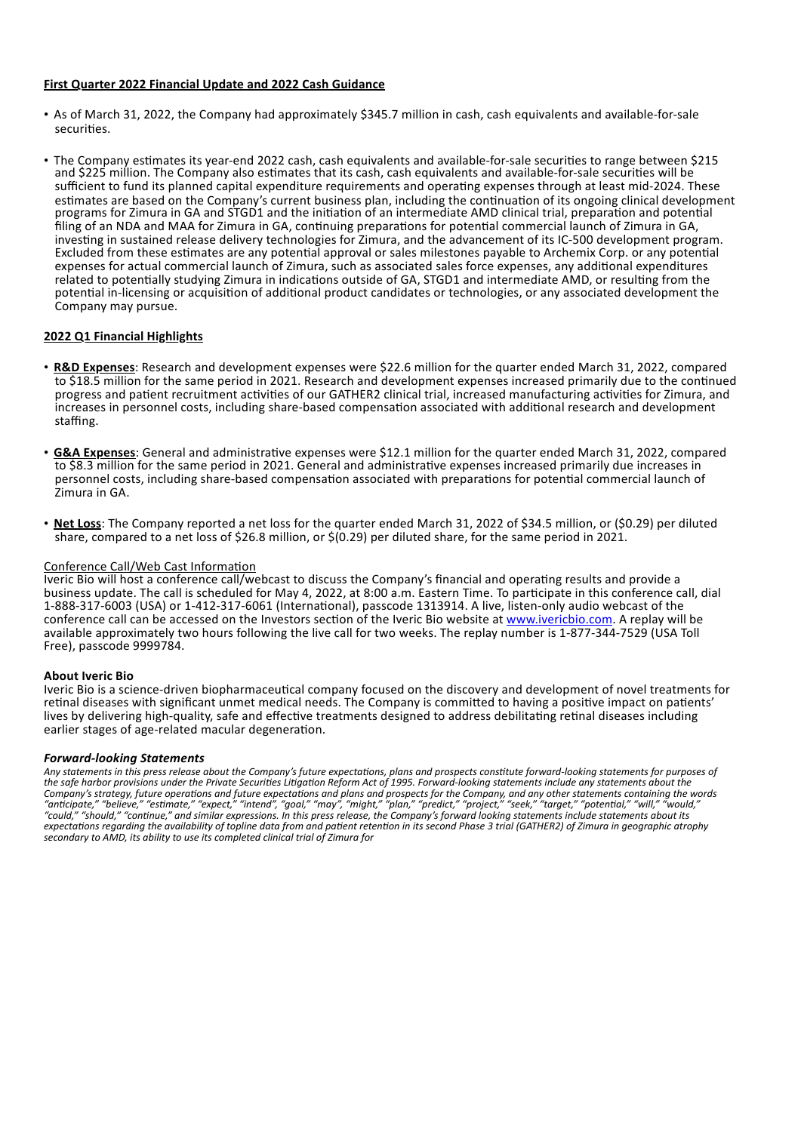## **First Quarter 2022 Financial Update and 2022 Cash Guidance**

- As of March 31, 2022, the Company had approximately \$345.7 million in cash, cash equivalents and available-for-sale securities.
- The Company estimates its year-end 2022 cash, cash equivalents and available-for-sale securities to range between \$215 and \$225 million. The Company also estimates that its cash, cash equivalents and available-for-sale securities will be sufficient to fund its planned capital expenditure requirements and operating expenses through at least mid-2024. These estimates are based on the Company's current business plan, including the continuation of its ongoing clinical development programs for Zimura in GA and STGD1 and the initiation of an intermediate AMD clinical trial, preparation and potential filing of an NDA and MAA for Zimura in GA, continuing preparations for potential commercial launch of Zimura in GA, investing in sustained release delivery technologies for Zimura, and the advancement of its IC-500 development program. Excluded from these estimates are any potential approval or sales milestones payable to Archemix Corp. or any potential expenses for actual commercial launch of Zimura, such as associated sales force expenses, any additional expenditures related to potentially studying Zimura in indications outside of GA, STGD1 and intermediate AMD, or resulting from the potential in-licensing or acquisition of additional product candidates or technologies, or any associated development the Company may pursue.

# **2022 Q1 Financial Highlights**

- **R&D Expenses**: Research and development expenses were \$22.6 million for the quarter ended March 31, 2022, compared to \$18.5 million for the same period in 2021. Research and development expenses increased primarily due to the continued progress and patient recruitment activities of our GATHER2 clinical trial, increased manufacturing activities for Zimura, and increases in personnel costs, including share-based compensation associated with additional research and development staffing.
- **G&A Expenses**: General and administrative expenses were \$12.1 million for the quarter ended March 31, 2022, compared to \$8.3 million for the same period in 2021. General and administrative expenses increased primarily due increases in personnel costs, including share-based compensation associated with preparations for potential commercial launch of Zimura in GA.
- **Net Loss**: The Company reported a net loss for the quarter ended March 31, 2022 of \$34.5 million, or (\$0.29) per diluted share, compared to a net loss of \$26.8 million, or \$(0.29) per diluted share, for the same period in 2021.

## Conference Call/Web Cast Information

Iveric Bio will host a conference call/webcast to discuss the Company's financial and operating results and provide a business update. The call is scheduled for May 4, 2022, at 8:00 a.m. Eastern Time. To participate in this conference call, dial 1-888-317-6003 (USA) or 1-412-317-6061 (International), passcode 1313914. A live, listen-only audio webcast of the conference call can be accessed on the Investors section of the Iveric Bio website at www.ivericbio.com. A replay will be available approximately two hours following the live call for two weeks. The replay number is 1-877-344-7529 (USA Toll Free), passcode 9999784.

## **About Iveric Bio**

Iveric Bio is a science-driven biopharmaceutical company focused on the discovery and development of novel treatments for retinal diseases with significant unmet medical needs. The Company is committed to having a positive impact on patients' lives by delivering high-quality, safe and effective treatments designed to address debilitating retinal diseases including earlier stages of age-related macular degeneration.

## *Forward-looking Statements*

*Any statements in this press release about the Company's future expectations, plans and prospects constitute forward-looking statements for purposes of the safe harbor provisions under the Private Securities Litigation Reform Act of 1995. Forward-looking statements include any statements about the Company's strategy, future operations and future expectations and plans and prospects for the Company, and any other statements containing the words "anticipate," "believe," "estimate," "expect," "intend", "goal," "may", "might," "plan," "predict," "project," "seek," "target," "potential," "will," "would," "could," "should," "continue," and similar expressions. In this press release, the Company's forward looking statements include statements about its expectations regarding the availability of topline data from and patient retention in its second Phase 3 trial (GATHER2) of Zimura in geographic atrophy secondary to AMD, its ability to use its completed clinical trial of Zimura for*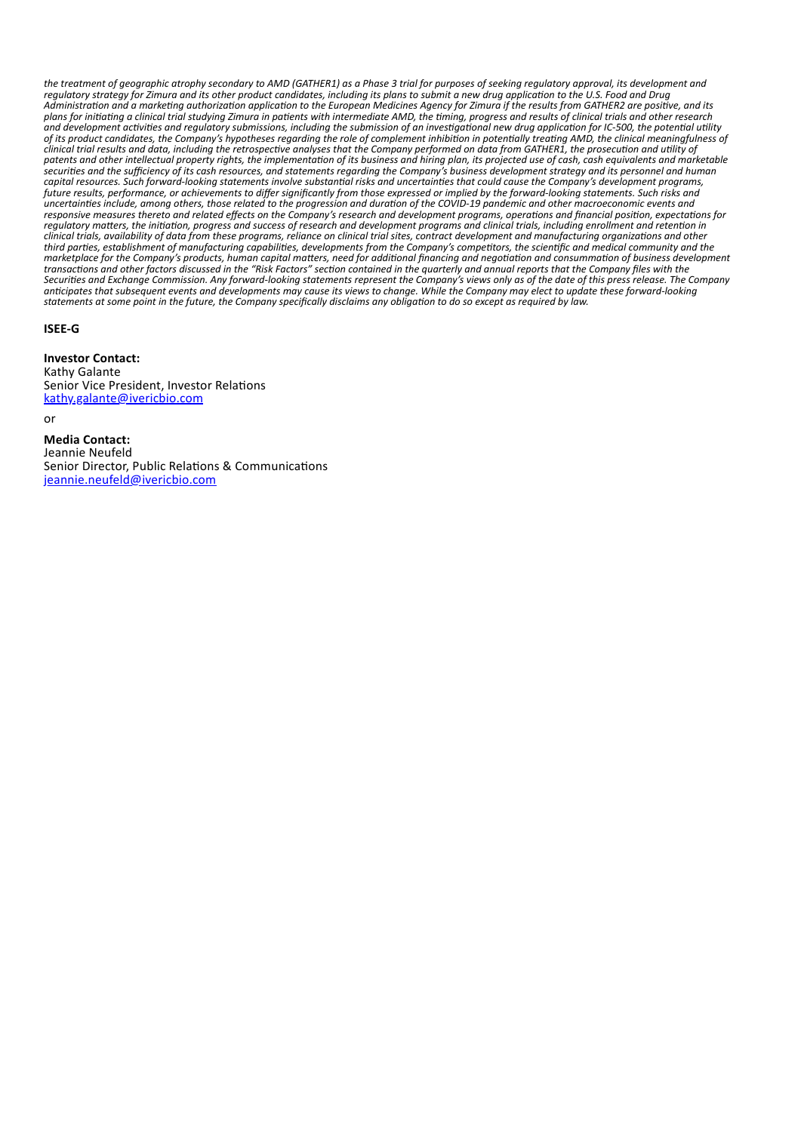*the treatment of geographic atrophy secondary to AMD (GATHER1) as a Phase 3 trial for purposes of seeking regulatory approval, its development and regulatory strategy for Zimura and its other product candidates, including its plans to submit a new drug application to the U.S. Food and Drug Administration and a marketing authorization application to the European Medicines Agency for Zimura if the results from GATHER2 are positive, and its plans for initiating a clinical trial studying Zimura in patients with intermediate AMD, the timing, progress and results of clinical trials and other research and development activities and regulatory submissions, including the submission of an investigational new drug application for IC-500, the potential utility of its product candidates, the Company's hypotheses regarding the role of complement inhibition in potentially treating AMD, the clinical meaningfulness of clinical trial results and data, including the retrospective analyses that the Company performed on data from GATHER1, the prosecution and utility of patents and other intellectual property rights, the implementation of its business and hiring plan, its projected use of cash, cash equivalents and marketable securities and the sufficiency of its cash resources, and statements regarding the Company's business development strategy and its personnel and human capital resources. Such forward-looking statements involve substantial risks and uncertainties that could cause the Company's development programs, future results, performance, or achievements to differ significantly from those expressed or implied by the forward-looking statements. Such risks and uncertainties include, among others, those related to the progression and duration of the COVID-19 pandemic and other macroeconomic events and responsive measures thereto and related effects on the Company's research and development programs, operations and financial position, expectations for regulatory matters, the initiation, progress and success of research and development programs and clinical trials, including enrollment and retention in clinical trials, availability of data from these programs, reliance on clinical trial sites, contract development and manufacturing organizations and other third parties, establishment of manufacturing capabilities, developments from the Company's competitors, the scientific and medical community and the marketplace for the Company's products, human capital matters, need for additional financing and negotiation and consummation of business development transactions and other factors discussed in the "Risk Factors" section contained in the quarterly and annual reports that the Company files with the Securities and Exchange Commission. Any forward-looking statements represent the Company's views only as of the date of this press release. The Company anticipates that subsequent events and developments may cause its views to change. While the Company may elect to update these forward-looking statements at some point in the future, the Company specifically disclaims any obligation to do so except as required by law.*

## **ISEE-G**

**Investor Contact:** Kathy Galante Senior Vice President, Investor Relations kathy.galante@ivericbio.com

or

**Media Contact:** Jeannie Neufeld Senior Director, Public Relations & Communications jeannie.neufeld@ivericbio.com